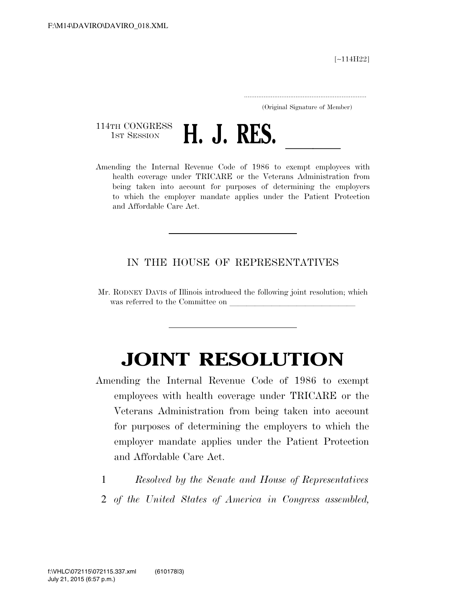[∼114H22]

.....................................................................

(Original Signature of Member)

114TH CONGRESS<br>1st Session



1ST SESSION **H. J. RES.** <u>J. Res. 1986</u> to exempt employees with health coverage under TRICARE or the Veterans Administration from being taken into account for purposes of determining the employers to which the employer mandate applies under the Patient Protection and Affordable Care Act.

## IN THE HOUSE OF REPRESENTATIVES

Mr. RODNEY DAVIS of Illinois introduced the following joint resolution; which was referred to the Committee on

## **JOINT RESOLUTION**

- Amending the Internal Revenue Code of 1986 to exempt employees with health coverage under TRICARE or the Veterans Administration from being taken into account for purposes of determining the employers to which the employer mandate applies under the Patient Protection and Affordable Care Act.
	- 1 *Resolved by the Senate and House of Representatives*
	- 2 *of the United States of America in Congress assembled,*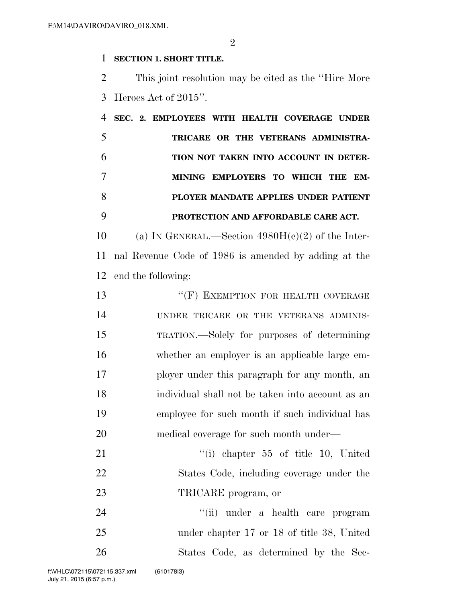$\mathfrak{D}$ 

## **SECTION 1. SHORT TITLE.**

 This joint resolution may be cited as the ''Hire More Heroes Act of 2015''.

|  | SEC. 2. EMPLOYEES WITH HEALTH COVERAGE UNDER |
|--|----------------------------------------------|
|  | TRICARE OR THE VETERANS ADMINISTRA-          |
|  | TION NOT TAKEN INTO ACCOUNT IN DETER-        |
|  | MINING EMPLOYERS TO WHICH THE EM-            |
|  | PLOYER MANDATE APPLIES UNDER PATIENT         |
|  | PROTECTION AND AFFORDABLE CARE ACT.          |

10 (a) IN GENERAL.—Section  $4980H(c)(2)$  of the Inter- nal Revenue Code of 1986 is amended by adding at the end the following:

13 "
(F) EXEMPTION FOR HEALTH COVERAGE UNDER TRICARE OR THE VETERANS ADMINIS- TRATION.—Solely for purposes of determining whether an employer is an applicable large em- ployer under this paragraph for any month, an individual shall not be taken into account as an employee for such month if such individual has medical coverage for such month under— 21 ''(i) chapter 55 of title 10, United

 States Code, including coverage under the 23 TRICARE program, or

24 ''(ii) under a health care program under chapter 17 or 18 of title 38, United States Code, as determined by the Sec